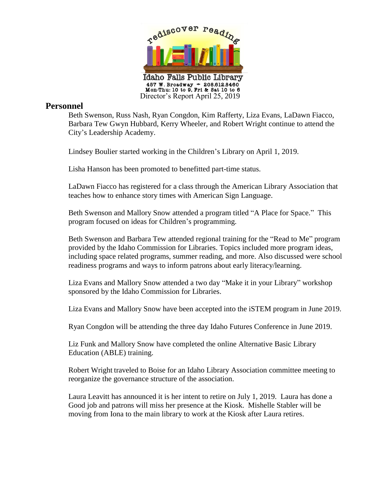

## **Personnel**

Beth Swenson, Russ Nash, Ryan Congdon, Kim Rafferty, Liza Evans, LaDawn Fiacco, Barbara Tew Gwyn Hubbard, Kerry Wheeler, and Robert Wright continue to attend the City's Leadership Academy.

Lindsey Boulier started working in the Children's Library on April 1, 2019.

Lisha Hanson has been promoted to benefitted part-time status.

LaDawn Fiacco has registered for a class through the American Library Association that teaches how to enhance story times with American Sign Language.

Beth Swenson and Mallory Snow attended a program titled "A Place for Space." This program focused on ideas for Children's programming.

Beth Swenson and Barbara Tew attended regional training for the "Read to Me" program provided by the Idaho Commission for Libraries. Topics included more program ideas, including space related programs, summer reading, and more. Also discussed were school readiness programs and ways to inform patrons about early literacy/learning.

Liza Evans and Mallory Snow attended a two day "Make it in your Library" workshop sponsored by the Idaho Commission for Libraries.

Liza Evans and Mallory Snow have been accepted into the iSTEM program in June 2019.

Ryan Congdon will be attending the three day Idaho Futures Conference in June 2019.

Liz Funk and Mallory Snow have completed the online Alternative Basic Library Education (ABLE) training.

Robert Wright traveled to Boise for an Idaho Library Association committee meeting to reorganize the governance structure of the association.

Laura Leavitt has announced it is her intent to retire on July 1, 2019. Laura has done a Good job and patrons will miss her presence at the Kiosk. Mishelle Stabler will be moving from Iona to the main library to work at the Kiosk after Laura retires.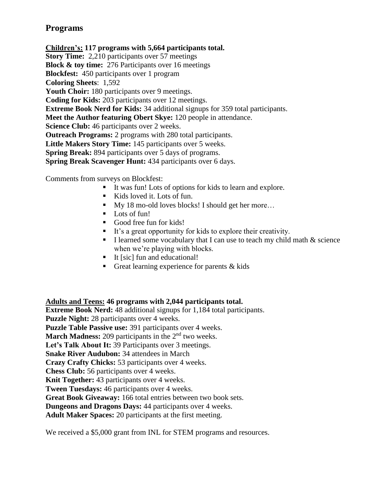## **Programs**

**Children's: 117 programs with 5,664 participants total. Story Time:** 2,210 participants over 57 meetings **Block & toy time:** 276 Participants over 16 meetings **Blockfest:** 450 participants over 1 program **Coloring Sheets**: 1,592 Youth Choir: 180 participants over 9 meetings. **Coding for Kids:** 203 participants over 12 meetings. **Extreme Book Nerd for Kids:** 34 additional signups for 359 total participants. **Meet the Author featuring Obert Skye:** 120 people in attendance. **Science Club:** 46 participants over 2 weeks. **Outreach Programs:** 2 programs with 280 total participants. **Little Makers Story Time:** 145 participants over 5 weeks. **Spring Break:** 894 participants over 5 days of programs. **Spring Break Scavenger Hunt:** 434 participants over 6 days.

Comments from surveys on Blockfest:

- It was fun! Lots of options for kids to learn and explore.
- Kids loved it. Lots of fun.
- My 18 mo-old loves blocks! I should get her more...
- **Lots of fun!**
- Good free fun for kids!
- It's a great opportunity for kids to explore their creativity.
- I learned some vocabulary that I can use to teach my child math  $&$  science when we're playing with blocks.
- $\blacksquare$  It [sic] fun and educational!
- Great learning experience for parents  $&$  kids

**Adults and Teens: 46 programs with 2,044 participants total.**

**Extreme Book Nerd:** 48 additional signups for 1,184 total participants. **Puzzle Night:** 28 participants over 4 weeks. **Puzzle Table Passive use:** 391 participants over 4 weeks. March Madness: 209 participants in the 2<sup>nd</sup> two weeks. Let's Talk About It: 39 Participants over 3 meetings. **Snake River Audubon:** 34 attendees in March **Crazy Crafty Chicks:** 53 participants over 4 weeks. **Chess Club:** 56 participants over 4 weeks. **Knit Together:** 43 participants over 4 weeks. **Tween Tuesdays:** 46 participants over 4 weeks. **Great Book Giveaway:** 166 total entries between two book sets. **Dungeons and Dragons Days:** 44 participants over 4 weeks. **Adult Maker Spaces:** 20 participants at the first meeting.

We received a \$5,000 grant from INL for STEM programs and resources.